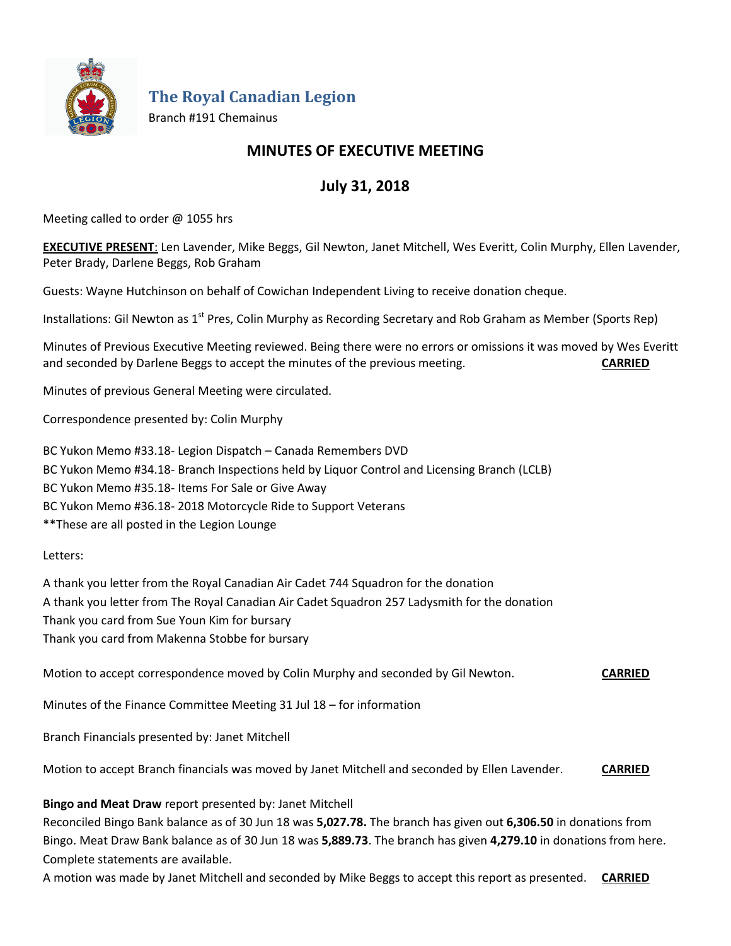

**The Royal Canadian Legion**

Branch #191 Chemainus

# **MINUTES OF EXECUTIVE MEETING**

# **July 31, 2018**

Meeting called to order @ 1055 hrs

**EXECUTIVE PRESENT**: Len Lavender, Mike Beggs, Gil Newton, Janet Mitchell, Wes Everitt, Colin Murphy, Ellen Lavender, Peter Brady, Darlene Beggs, Rob Graham

Guests: Wayne Hutchinson on behalf of Cowichan Independent Living to receive donation cheque.

Installations: Gil Newton as 1<sup>st</sup> Pres, Colin Murphy as Recording Secretary and Rob Graham as Member (Sports Rep)

Minutes of Previous Executive Meeting reviewed. Being there were no errors or omissions it was moved by Wes Everitt and seconded by Darlene Beggs to accept the minutes of the previous meeting. **CARRIED**

Minutes of previous General Meeting were circulated.

Correspondence presented by: Colin Murphy

BC Yukon Memo #33.18- Legion Dispatch – Canada Remembers DVD BC Yukon Memo #34.18- Branch Inspections held by Liquor Control and Licensing Branch (LCLB) BC Yukon Memo #35.18- Items For Sale or Give Away BC Yukon Memo #36.18- 2018 Motorcycle Ride to Support Veterans \*\*These are all posted in the Legion Lounge

Letters:

A thank you letter from the Royal Canadian Air Cadet 744 Squadron for the donation A thank you letter from The Royal Canadian Air Cadet Squadron 257 Ladysmith for the donation Thank you card from Sue Youn Kim for bursary Thank you card from Makenna Stobbe for bursary

Motion to accept correspondence moved by Colin Murphy and seconded by Gil Newton. **CARRIED**

Minutes of the Finance Committee Meeting 31 Jul 18 – for information

Branch Financials presented by: Janet Mitchell

Motion to accept Branch financials was moved by Janet Mitchell and seconded by Ellen Lavender. **CARRIED**

**Bingo and Meat Draw** report presented by: Janet Mitchell

Reconciled Bingo Bank balance as of 30 Jun 18 was **5,027.78.** The branch has given out **6,306.50** in donations from Bingo. Meat Draw Bank balance as of 30 Jun 18 was **5,889.73**. The branch has given **4,279.10** in donations from here. Complete statements are available.

A motion was made by Janet Mitchell and seconded by Mike Beggs to accept this report as presented. **CARRIED**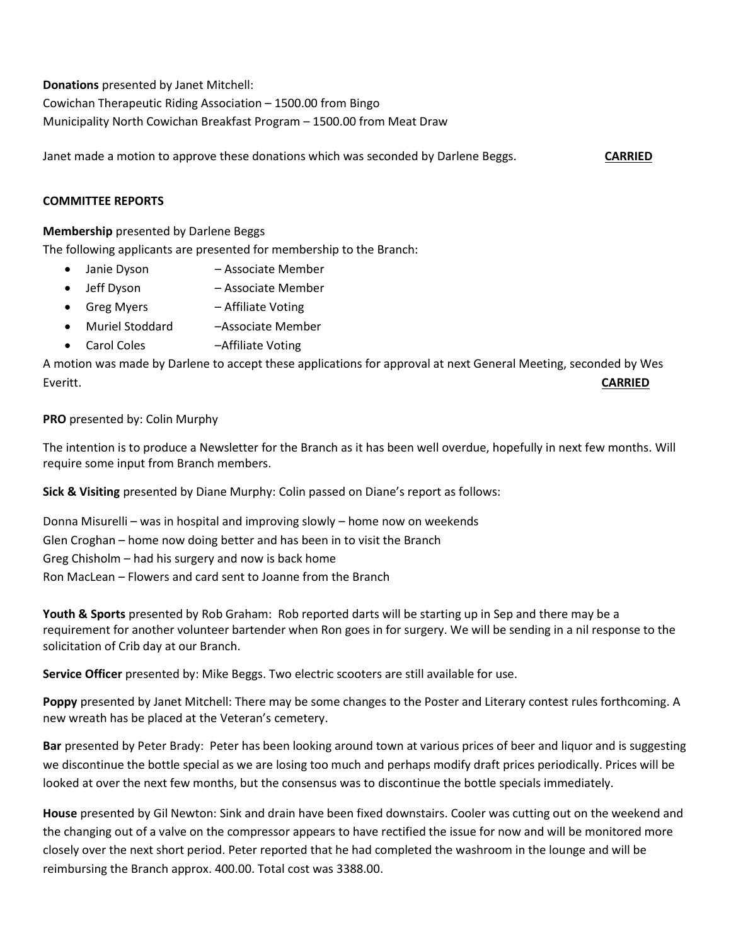**Donations** presented by Janet Mitchell:

Cowichan Therapeutic Riding Association – 1500.00 from Bingo

Municipality North Cowichan Breakfast Program – 1500.00 from Meat Draw

Janet made a motion to approve these donations which was seconded by Darlene Beggs. **CARRIED**

## **COMMITTEE REPORTS**

### **Membership** presented by Darlene Beggs

The following applicants are presented for membership to the Branch:

- Janie Dyson Associate Member
- Jeff Dyson Associate Member
- Greg Myers Affiliate Voting
- Muriel Stoddard Associate Member
- Carol Coles –Affiliate Voting

A motion was made by Darlene to accept these applications for approval at next General Meeting, seconded by Wes Everitt. **CARRIED**

## **PRO** presented by: Colin Murphy

The intention is to produce a Newsletter for the Branch as it has been well overdue, hopefully in next few months. Will require some input from Branch members.

**Sick & Visiting** presented by Diane Murphy: Colin passed on Diane's report as follows:

Donna Misurelli – was in hospital and improving slowly – home now on weekends Glen Croghan – home now doing better and has been in to visit the Branch Greg Chisholm – had his surgery and now is back home Ron MacLean – Flowers and card sent to Joanne from the Branch

**Youth & Sports** presented by Rob Graham: Rob reported darts will be starting up in Sep and there may be a requirement for another volunteer bartender when Ron goes in for surgery. We will be sending in a nil response to the solicitation of Crib day at our Branch.

**Service Officer** presented by: Mike Beggs. Two electric scooters are still available for use.

**Poppy** presented by Janet Mitchell: There may be some changes to the Poster and Literary contest rules forthcoming. A new wreath has be placed at the Veteran's cemetery.

**Bar** presented by Peter Brady: Peter has been looking around town at various prices of beer and liquor and is suggesting we discontinue the bottle special as we are losing too much and perhaps modify draft prices periodically. Prices will be looked at over the next few months, but the consensus was to discontinue the bottle specials immediately.

**House** presented by Gil Newton: Sink and drain have been fixed downstairs. Cooler was cutting out on the weekend and the changing out of a valve on the compressor appears to have rectified the issue for now and will be monitored more closely over the next short period. Peter reported that he had completed the washroom in the lounge and will be reimbursing the Branch approx. 400.00. Total cost was 3388.00.